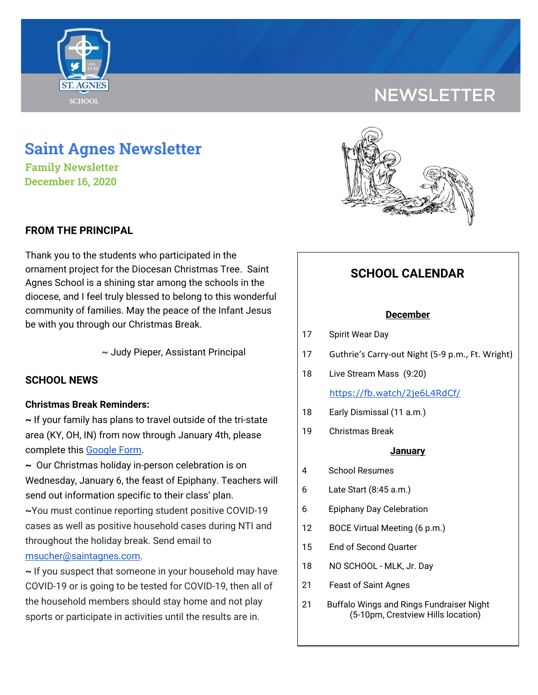

# **NEWSLETTER**

# **Saint Agnes Newsletter**

**Family Newsletter December 16, 2020**

# **FROM THE PRINCIPAL**

Thank you to the students who participated in the ornament project for the Diocesan Christmas Tree. Saint Agnes School is a shining star among the schools in the diocese, and I feel truly blessed to belong to this wonderful community of families. May the peace of the Infant Jesus be with you through our Christmas Break.

~ Judy Pieper, Assistant Principal

# **SCHOOL NEWS**

### **Christmas Break Reminders:**

**~** If your family has plans to travel outside of the tri-state area (KY, OH, IN) from now through January 4th, please complete this [Google](https://docs.google.com/forms/d/e/1FAIpQLSfFM-ZAlSxO2UPHBz7UuV56wGWfebAHwFLUEsy2NnajQKNbhA/viewform?usp=sf_link) Form.

**~** Our Christmas holiday in-person celebration is on Wednesday, January 6, the feast of Epiphany. Teachers will send out information specific to their class' plan.

**~**You must continue reporting student positive COVID-19 cases as well as positive household cases during NTI and throughout the holiday break. Send email to [msucher@saintagnes.com.](mailto:msucher@saintagnes.com)

**~** If you suspect that someone in your household may have COVID-19 or is going to be tested for COVID-19, then all of the household members should stay home and not play sports or participate in activities until the results are in.



# **SCHOOL CALENDAR**

#### **December**

#### 17 Spirit Wear Day

- 17 Guthrie's Carry-out Night (5-9 p.m., Ft. Wright)
- 18 Live Stream Mass (9:20)

#### <https://fb.watch/2je6L4RdCf/>

- 18 Early Dismissal (11 a.m.)
- 19 Christmas Break

#### **January**

- 4 School Resumes
- 6 Late Start (8:45 a.m.)
- 6 Epiphany Day Celebration
- 12 BOCE Virtual Meeting (6 p.m.)
- 15 End of Second Quarter
- 18 NO SCHOOL MLK, Jr. Day
- 21 Feast of Saint Agnes
- 21 Buffalo Wings and Rings Fundraiser Night (5-10pm, Crestview Hills location)